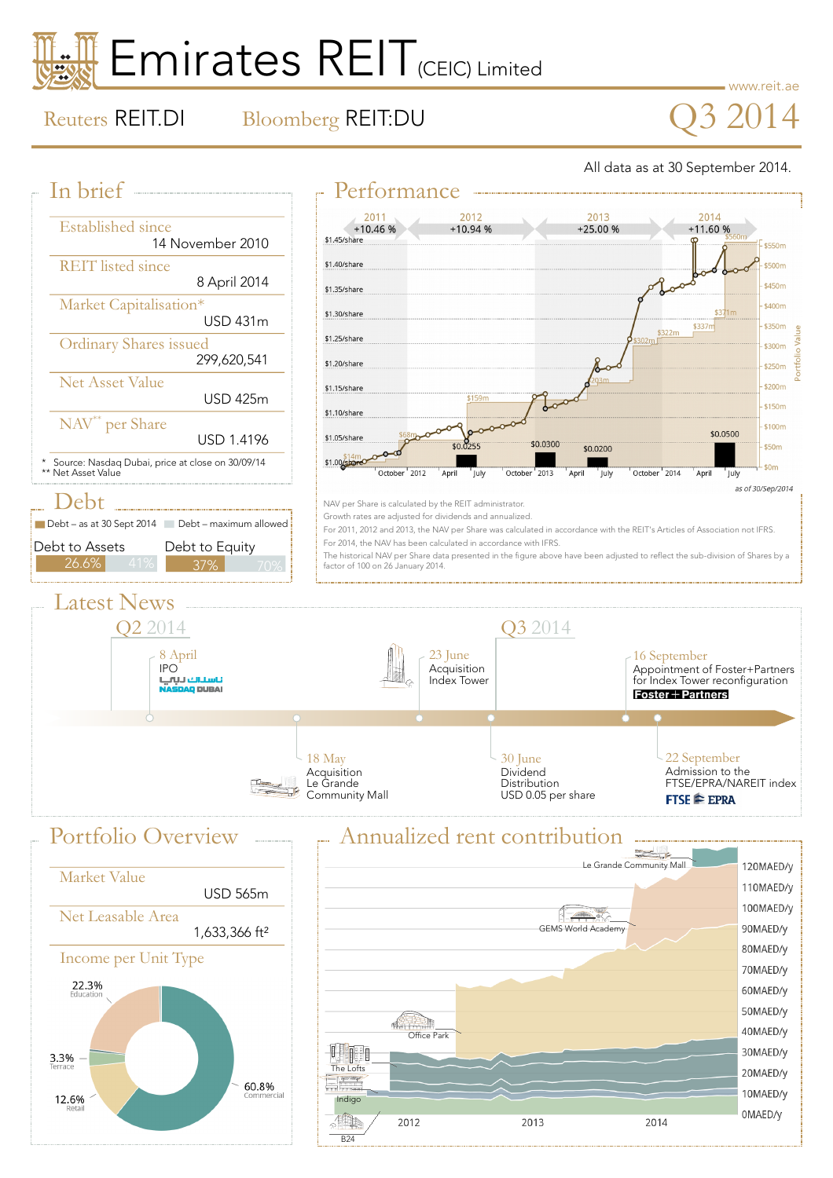# Emirates REIT<sub>(CEIC) Limited</sub>

www.reit.ae

0MAED/y

2014

12.6%

## Reuters REIT.DI Bloomberg REIT:DU  $\bigcirc$  3 2014

All data as at 30 September 2014.



Indigo

B24

.40r

2012

2013